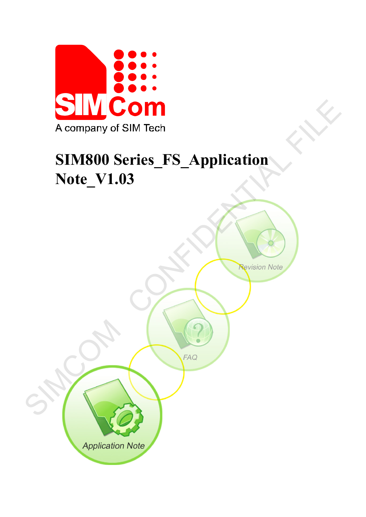

# **SIM800 Series\_FS\_Application Note\_V1.03**

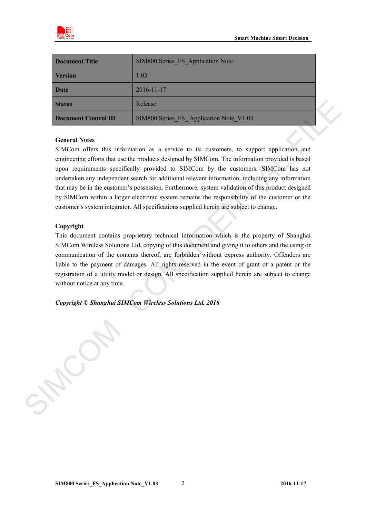

| <b>Document Title</b> | SIM800 Series FS Application Note       |
|-----------------------|-----------------------------------------|
| <b>Version</b>        | 1.03                                    |
| <b>Date</b>           | 2016-11-17                              |
| <b>Status</b>         | Release                                 |
| Document Control ID   | SIM800 Series FS Application Note V1.03 |

#### **General Notes**

SIMCom offers this information as a service to its customers, to support application and engineering efforts that use the products designed by SIMCom. The information provided is based upon requirements specifically provided to SIMCom by the customers. SIMCom has not undertaken any independent search for additional relevant information, including any information that may be in the customer's possession. Furthermore, system validation of this product designed by SIMCom within a larger electronic system remains the responsibility of the customer or the customer's system integrator. All specifications supplied herein are subject to change. Redeate<br>
SIMB00 Series 15 Application Note, V1.03<br>
General Note;<br>
SIMB00 Series 15 Application Note, V1.03<br>
Series distinguisment Confirms that information are a serivice to its candomers, to support application and<br>
regin

#### **Copyright**

This document contains proprietary technical information which is the property of Shanghai SIMCom Wireless Solutions Ltd, copying of this document and giving it to others and the using or communication of the contents thereof, are forbidden without express authority. Offenders are liable to the payment of damages. All rights reserved in the event of grant of a patent or the registration of a utility model or design. All specification supplied herein are subject to change without notice at any time.

*Copyright © Shanghai SIMCom Wireless Solutions Ltd. 2016*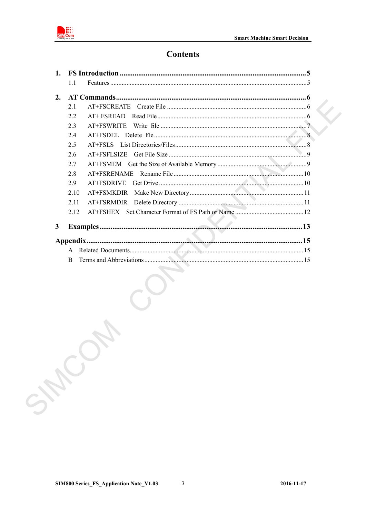

## **Contents**

| 1. |      |                     |  |
|----|------|---------------------|--|
|    | 1.1  | Features $\ldots$ 5 |  |
| 2. |      |                     |  |
|    | 2.1  |                     |  |
|    | 2.2  |                     |  |
|    | 2.3  |                     |  |
|    | 2.4  |                     |  |
|    | 2.5  |                     |  |
|    | 2.6  |                     |  |
|    | 2.7  |                     |  |
|    | 2.8  |                     |  |
|    | 2.9  |                     |  |
|    | 2.10 |                     |  |
|    | 2.11 |                     |  |
|    | 2.12 |                     |  |
| 3  |      |                     |  |
|    |      |                     |  |
|    | A    |                     |  |
|    | B    |                     |  |
|    |      | $\checkmark$        |  |
|    |      |                     |  |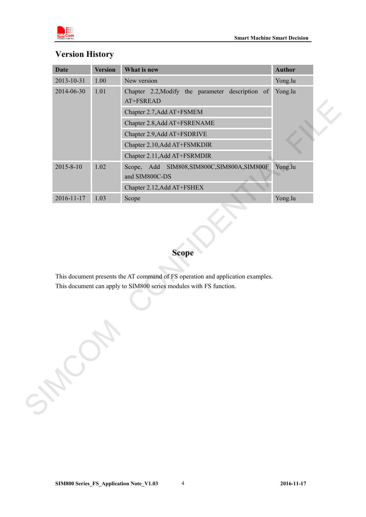



## **Version History**

| 2013-10-31       | <b>Version</b> | What is new                                                                                                                                           | <b>Author</b> |
|------------------|----------------|-------------------------------------------------------------------------------------------------------------------------------------------------------|---------------|
|                  | $1.00\,$       | New version                                                                                                                                           | Yong.lu       |
| 2014-06-30       | 1.01           | Chapter 2.2, Modify the parameter description of<br>AT+FSREAD                                                                                         | Yong.lu       |
|                  |                | Chapter 2.7, Add AT+FSMEM                                                                                                                             |               |
|                  |                | Chapter 2.8, Add AT+FSRENAME                                                                                                                          |               |
|                  |                | Chapter 2.9, Add AT+FSDRIVE                                                                                                                           |               |
|                  |                | Chapter 2.10, Add AT+FSMKDIR                                                                                                                          |               |
|                  |                | Chapter 2.11, Add AT+FSRMDIR                                                                                                                          |               |
| 2015-8-10        | 1.02           | Scope, Add<br>SIM808, SIM800C, SIM800A, SIM800F<br>and SIM800C-DS                                                                                     | Yong.lu       |
|                  |                | Chapter 2.12, Add AT+FSHEX                                                                                                                            |               |
| $2016 - 11 - 17$ | 1.03           | Scope                                                                                                                                                 | Yong.lu       |
|                  |                | <b>Scope</b>                                                                                                                                          |               |
|                  |                | This document presents the AT command of FS operation and application examples.<br>This document can apply to SIM800 series modules with FS function. |               |
| SHOWN            |                |                                                                                                                                                       |               |

## **Scope**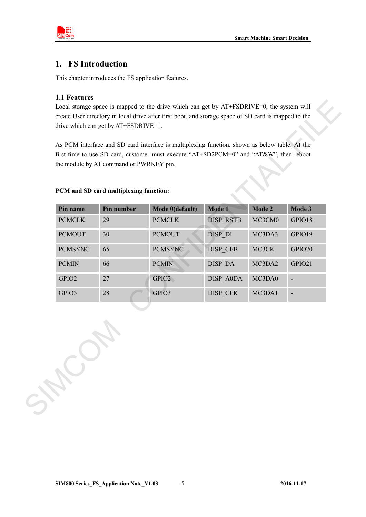

## <span id="page-4-0"></span>**1. FS Introduction**

This chapter introduces the FS application features.

#### <span id="page-4-1"></span>**1.1 Features**

#### **PCM and SD card multiplexing function:**

|                | PCM and SD card multiplexing function: |                 |                  |        |        |
|----------------|----------------------------------------|-----------------|------------------|--------|--------|
| Pin name       | Pin number                             | Mode 0(default) | Mode 1           | Mode 2 | Mode 3 |
| <b>PCMCLK</b>  | 29                                     | <b>PCMCLK</b>   | <b>DISP RSTB</b> | MC3CM0 | GPIO18 |
| <b>PCMOUT</b>  | 30                                     | <b>PCMOUT</b>   | DISP_DI          | MC3DA3 | GPIO19 |
| <b>PCMSYNC</b> | 65                                     | <b>PCMSYNC</b>  | DISP_CEB         | MC3CK  | GPIO20 |
| <b>PCMIN</b>   | 66                                     | <b>PCMIN</b>    | DISP_DA          | MC3DA2 | GPIO21 |
| GPIO2          | 27                                     | GPIO2           | DISP_A0DA        | MC3DA0 |        |
| GPIO3          | 28                                     | GPIO3           | DISP_CLK         | MC3DA1 |        |
|                |                                        |                 |                  |        |        |

**SIM800 Series\_FS\_Application Note\_V1.03** 5 **2016-11-17**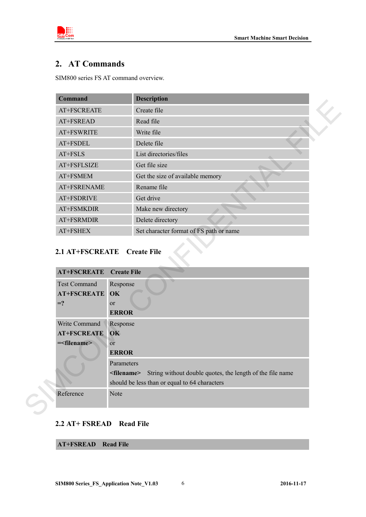

## <span id="page-5-0"></span>**2. AT Commands**

SIM800 series FS AT command overview.

| <b>Command</b>                                                           |                                            | <b>Description</b>                                                              |
|--------------------------------------------------------------------------|--------------------------------------------|---------------------------------------------------------------------------------|
| AT+FSCREATE                                                              |                                            | Create file                                                                     |
| AT+FSREAD                                                                |                                            | Read file                                                                       |
| AT+FSWRITE                                                               |                                            | Write file                                                                      |
| AT+FSDEL                                                                 |                                            | Delete file                                                                     |
| AT+FSLS                                                                  |                                            | List directories/files                                                          |
| AT+FSFLSIZE                                                              |                                            | Get file size                                                                   |
| AT+FSMEM                                                                 |                                            | Get the size of available memory                                                |
| AT+FSRENAME                                                              |                                            | Rename file                                                                     |
| AT+FSDRIVE                                                               |                                            | Get drive                                                                       |
| AT+FSMKDIR                                                               |                                            | Make new directory                                                              |
| AT+FSRMDIR                                                               |                                            | Delete directory                                                                |
|                                                                          |                                            | Set character format of FS path or name                                         |
| AT+FSHEX<br>2.1 AT+FSCREATE Create File                                  |                                            |                                                                                 |
| <b>AT+FSCREATE</b><br><b>Test Command</b><br><b>AT+FSCREATE</b><br>$= ?$ | <b>Create File</b><br>Response<br>OK<br>or |                                                                                 |
|                                                                          | <b>ERROR</b>                               |                                                                                 |
| Write Command                                                            | Response                                   |                                                                                 |
| <b>AT+FSCREATE</b>                                                       | OK                                         |                                                                                 |
| = <filename></filename>                                                  | <sub>or</sub><br><b>ERROR</b>              |                                                                                 |
|                                                                          | Parameters                                 |                                                                                 |
|                                                                          |                                            | <filename> String without double quotes, the length of the file name</filename> |
|                                                                          |                                            | should be less than or equal to 64 characters                                   |

## <span id="page-5-1"></span>**2.1 AT+FSCREATE Create File**

| <b>AT+FSCREATE</b> Create File |                                                                                    |
|--------------------------------|------------------------------------------------------------------------------------|
| <b>Test Command</b>            | Response                                                                           |
| <b>AT+FSCREATE OK</b>          |                                                                                    |
| $=$ ?                          | <sub>or</sub>                                                                      |
|                                | <b>ERROR</b>                                                                       |
| Write Command                  | Response                                                                           |
| <b>AT+FSCREATE</b>             | $\alpha$                                                                           |
| $=\frac{1}{2}$                 | $\overline{or}$                                                                    |
|                                | <b>ERROR</b>                                                                       |
|                                | Parameters                                                                         |
|                                | String without double quotes, the length of the file name<br><filename></filename> |
|                                | should be less than or equal to 64 characters                                      |
| Reference                      | <b>Note</b>                                                                        |
|                                |                                                                                    |

#### <span id="page-5-2"></span>**2.2 AT+ FSREAD Read File**

**AT+FSREAD Read File**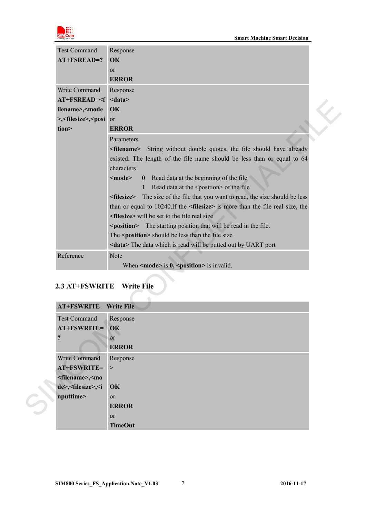

| <b>Test Command</b>                                                 | Response                                                                                     |  |
|---------------------------------------------------------------------|----------------------------------------------------------------------------------------------|--|
| AT+FSREAD=?                                                         | OK                                                                                           |  |
|                                                                     | or                                                                                           |  |
|                                                                     | <b>ERROR</b>                                                                                 |  |
| Write Command                                                       | Response                                                                                     |  |
| $AT+FSREAD= $                                                       |                                                                                              |  |
| ilename>, <mode< th=""><th>OK</th><th></th></mode<>                 | OK                                                                                           |  |
| >, <filesize>, <posi< th=""><th>or</th><th></th></posi<></filesize> | or                                                                                           |  |
| tion>                                                               | <b>ERROR</b>                                                                                 |  |
|                                                                     | Parameters                                                                                   |  |
|                                                                     | String without double quotes, the file should have already<br><filename></filename>          |  |
|                                                                     | existed. The length of the file name should be less than or equal to 64                      |  |
|                                                                     | characters                                                                                   |  |
|                                                                     | Read data at the beginning of the file<br>$mode$<br>$\bf{0}$                                 |  |
|                                                                     | Read data at the <position> of the file<br/>1</position>                                     |  |
|                                                                     | The size of the file that you want to read, the size should be less<br><filesize></filesize> |  |
|                                                                     | than or equal to 10240. If the <filesize> is more than the file real size, the</filesize>    |  |
|                                                                     | <filesize> will be set to the file real size</filesize>                                      |  |
|                                                                     | <position> The starting position that will be read in the file.</position>                   |  |
|                                                                     | The <position> should be less than the file size</position>                                  |  |
|                                                                     | <data> The data which is read will be putted out by UART port</data>                         |  |
| Reference                                                           | Note                                                                                         |  |
|                                                                     | When $\leq$ mode> is 0, $\leq$ position> is invalid.                                         |  |
|                                                                     |                                                                                              |  |
| <b>2.3 AT+FSWRITE</b>                                               | <b>Write File</b>                                                                            |  |
|                                                                     |                                                                                              |  |
| <b>AT+FSWRITE</b>                                                   | <b>Write File</b>                                                                            |  |
|                                                                     |                                                                                              |  |

## <span id="page-6-0"></span>**2.3 AT+FSWRITE Write File**

| <b>AT+FSWRITE</b> Write File                             |                |
|----------------------------------------------------------|----------------|
| <b>Test Command</b>                                      | Response       |
| AT+FSWRITE= OK                                           |                |
| ?                                                        | or             |
|                                                          | <b>ERROR</b>   |
| Write Command                                            | Response       |
| AT+FSWRITE=                                              |                |
| <filename>,<mo< th=""><th></th></mo<></filename>         |                |
| de>, <filesize>,<i ok<="" th=""><th></th></i></filesize> |                |
| nputtime>                                                | <sub>or</sub>  |
|                                                          | <b>ERROR</b>   |
|                                                          | or             |
|                                                          | <b>TimeOut</b> |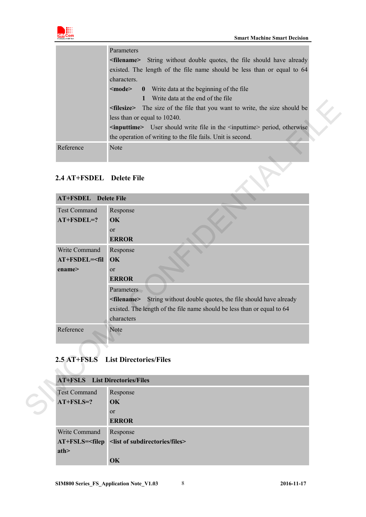

|           | Parameters                                                                              |
|-----------|-----------------------------------------------------------------------------------------|
|           | <b>Example 2</b> String without double quotes, the file should have already             |
|           | existed. The length of the file name should be less than or equal to 64                 |
|           | characters.                                                                             |
|           | <b>0</b> Write data at the beginning of the file<br>$\leq$ mode $\geq$                  |
|           | Write data at the end of the file                                                       |
|           | <b>Interest Strings</b> The size of the file that you want to write, the size should be |
|           | less than or equal to 10240.                                                            |
|           | $\le$ inputtime> User should write file in the $\le$ inputtime> period, otherwise       |
|           | the operation of writing to the file fails. Unit is second.                             |
| Reference | Note                                                                                    |
|           |                                                                                         |

#### <span id="page-7-0"></span>**2.4 AT+FSDEL Delete File**

| Reference                                | Note                                                                                                                                                            |
|------------------------------------------|-----------------------------------------------------------------------------------------------------------------------------------------------------------------|
| 2.4 AT+FSDEL Delete File                 |                                                                                                                                                                 |
| <b>AT+FSDEL</b> Delete File              |                                                                                                                                                                 |
| <b>Test Command</b>                      | Response                                                                                                                                                        |
| $AT+FSDEL=?$                             | OK<br><sub>or</sub>                                                                                                                                             |
|                                          | <b>ERROR</b>                                                                                                                                                    |
| Write Command                            | Response                                                                                                                                                        |
| AT+FSDEL= <fil< td=""><td>OK</td></fil<> | OK                                                                                                                                                              |
| ename>                                   | or                                                                                                                                                              |
|                                          | <b>ERROR</b>                                                                                                                                                    |
|                                          | Parameters                                                                                                                                                      |
|                                          | String without double quotes, the file should have already<br><filename><br/>existed. The length of the file name should be less than or equal to 64</filename> |
|                                          | characters                                                                                                                                                      |
| Reference                                | Note                                                                                                                                                            |
|                                          |                                                                                                                                                                 |
|                                          |                                                                                                                                                                 |
| 2.5 AT+FSLS                              | <b>List Directories/Files</b>                                                                                                                                   |
|                                          |                                                                                                                                                                 |

## <span id="page-7-1"></span>**2.5 AT+FSLS List Directories/Files**

| <b>AT+FSLS</b> List Directories/Files |                                                                    |  |  |  |
|---------------------------------------|--------------------------------------------------------------------|--|--|--|
| <b>Test Command</b>                   | Response                                                           |  |  |  |
| $AT+FSLS=?$                           | $\overline{\text{OK}}$                                             |  |  |  |
|                                       | <sub>or</sub>                                                      |  |  |  |
|                                       | <b>ERROR</b>                                                       |  |  |  |
| Write Command                         | Response                                                           |  |  |  |
|                                       | AT+FSLS= <filep <list="" files="" of="" subdirectories=""></filep> |  |  |  |
| ath                                   |                                                                    |  |  |  |
|                                       | OK                                                                 |  |  |  |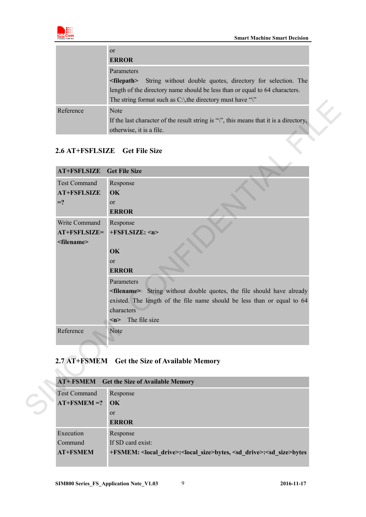

|           | <sub>or</sub>                                                                         |  |
|-----------|---------------------------------------------------------------------------------------|--|
|           | <b>ERROR</b>                                                                          |  |
|           | Parameters                                                                            |  |
|           | String without double quotes, directory for selection. The<br>$\le$ filepath $>$      |  |
|           | length of the directory name should be less than or equal to 64 characters.           |  |
|           | The string format such as $C \setminus$ the directory must have "\"                   |  |
| Reference | <b>Note</b>                                                                           |  |
|           | If the last character of the result string is "\", this means that it is a directory, |  |
|           | otherwise, it is a file.                                                              |  |
|           |                                                                                       |  |
|           | 2.6 AT+FSFLSIZE Get File Size                                                         |  |
|           |                                                                                       |  |
|           |                                                                                       |  |

#### <span id="page-8-0"></span>**2.6 AT+FSFLSIZE Get File Size**

| <b>AT+FSFLSIZE</b><br><b>Test Command</b> | <b>Get File Size</b><br>Response                                                 |
|-------------------------------------------|----------------------------------------------------------------------------------|
| <b>AT+FSFLSIZE</b>                        | OK                                                                               |
| $= ?$                                     | <b>or</b>                                                                        |
|                                           | <b>ERROR</b>                                                                     |
| Write Command                             | Response                                                                         |
| AT+FSFLSIZE=                              | +FSFLSIZE: <n></n>                                                               |
| <filename></filename>                     | OK                                                                               |
|                                           | <sub>or</sub>                                                                    |
|                                           | <b>ERROR</b>                                                                     |
|                                           | Parameters                                                                       |
|                                           | <filename> String without double quotes, the file should have already</filename> |
|                                           | existed. The length of the file name should be less than or equal to 64          |
|                                           | characters                                                                       |
|                                           | The file size<br>$\leq n$                                                        |
| Reference                                 | Note                                                                             |
|                                           |                                                                                  |

## <span id="page-8-1"></span>**2.7 AT+FSMEM Get the Size of Available Memory**

| <b>AT+ FSMEM</b> Get the Size of Available Memory |                                                                                                          |  |  |
|---------------------------------------------------|----------------------------------------------------------------------------------------------------------|--|--|
| <b>Test Command</b>                               | Response                                                                                                 |  |  |
| $AT+FSMEM = ?$                                    | $\alpha$                                                                                                 |  |  |
|                                                   | $\alpha$                                                                                                 |  |  |
|                                                   | <b>ERROR</b>                                                                                             |  |  |
| Execution                                         | Response                                                                                                 |  |  |
| Command                                           | If SD card exist:                                                                                        |  |  |
| <b>AT+FSMEM</b>                                   | +FSMEM: <local drive="">:<local size="">bytes, <sd drive="">:<sd size="">bytes</sd></sd></local></local> |  |  |
|                                                   |                                                                                                          |  |  |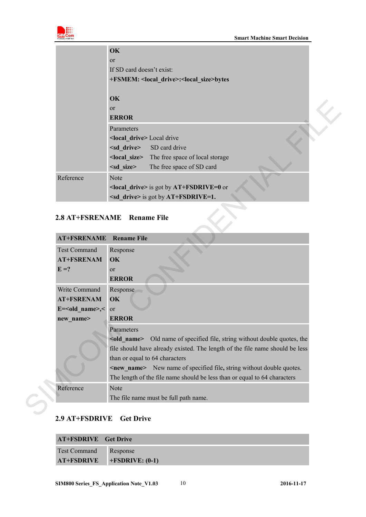

|           | OK                                   |                                                                    |  |
|-----------|--------------------------------------|--------------------------------------------------------------------|--|
|           | $\alpha$                             |                                                                    |  |
|           | If SD card doesn't exist:            |                                                                    |  |
|           |                                      | +FSMEM: <local_drive>:<local_size>bytes</local_size></local_drive> |  |
|           | OK                                   |                                                                    |  |
|           | <sub>or</sub>                        |                                                                    |  |
|           | <b>ERROR</b>                         |                                                                    |  |
|           | Parameters                           |                                                                    |  |
|           | <local drive=""> Local drive</local> |                                                                    |  |
|           |                                      | <sd drive=""> SD card drive</sd>                                   |  |
|           |                                      | <local_size> The free space of local storage</local_size>          |  |
|           | $<$ sd size $>$                      | The free space of SD card                                          |  |
| Reference | <b>Note</b>                          |                                                                    |  |
|           |                                      | $\le$ local drive> is got by AT+FSDRIVE=0 or                       |  |
|           |                                      | $\leq$ sd drive> is got by AT+FSDRIVE=1.                           |  |

### <span id="page-9-0"></span>**2.8 AT+FSRENAME Rename File**

|                           | <b>ERROR</b>                                                                                                                                                                  |
|---------------------------|-------------------------------------------------------------------------------------------------------------------------------------------------------------------------------|
|                           | Parameters                                                                                                                                                                    |
|                           | <local drive=""> Local drive</local>                                                                                                                                          |
|                           | <sd drive=""><br/>SD card drive</sd>                                                                                                                                          |
|                           | The free space of local storage<br><local size=""></local>                                                                                                                    |
|                           | $<$ sd_size><br>The free space of SD card                                                                                                                                     |
| Reference                 | Note                                                                                                                                                                          |
|                           | <local_drive> is got by AT+FSDRIVE=0 or</local_drive>                                                                                                                         |
|                           | $\leq$ sd drive> is got by AT+FSDRIVE=1.                                                                                                                                      |
|                           |                                                                                                                                                                               |
|                           | 2.8 AT+FSRENAME Rename File                                                                                                                                                   |
|                           |                                                                                                                                                                               |
| <b>AT+FSRENAME</b>        | <b>Rename File</b>                                                                                                                                                            |
| <b>Test Command</b>       | Response                                                                                                                                                                      |
| <b>AT+FSRENAM</b>         | OK                                                                                                                                                                            |
| $E = ?$                   | or                                                                                                                                                                            |
|                           | <b>ERROR</b>                                                                                                                                                                  |
|                           | Response                                                                                                                                                                      |
| Write Command             |                                                                                                                                                                               |
| <b>AT+FSRENAM</b>         | OK                                                                                                                                                                            |
| $E = <$ old name>, $<$ or |                                                                                                                                                                               |
| new_name>                 | <b>ERROR</b>                                                                                                                                                                  |
|                           | Parameters                                                                                                                                                                    |
|                           |                                                                                                                                                                               |
|                           |                                                                                                                                                                               |
|                           | than or equal to 64 characters                                                                                                                                                |
|                           | <new name=""> New name of specified file, string without double quotes.</new>                                                                                                 |
|                           | The length of the file name should be less than or equal to 64 characters                                                                                                     |
| Reference                 | <old_name> Old name of specified file, string without double quotes, the<br/>file should have already existed. The length of the file name should be less<br/>Note</old_name> |

#### <span id="page-9-1"></span>**2.9 AT+FSDRIVE Get Drive**

| <b>AT+FSDRIVE</b> Get Drive |                    |
|-----------------------------|--------------------|
| <b>Test Command</b>         | Response           |
| <b>AT+FSDRIVE</b>           | $+FSDRIVE$ : (0-1) |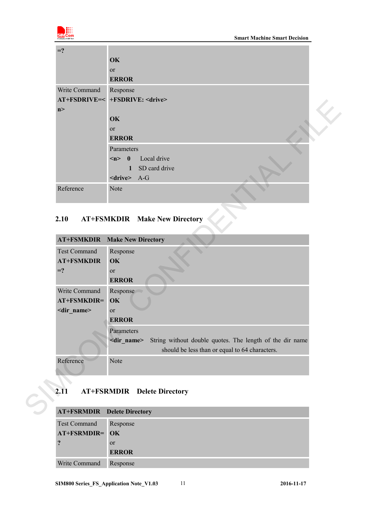

| $=$ ?         |                                   |  |
|---------------|-----------------------------------|--|
|               | OK                                |  |
|               | or                                |  |
|               | <b>ERROR</b>                      |  |
| Write Command | Response                          |  |
|               | AT+FSDRIVE=< +FSDRIVE: < drive>   |  |
| n             |                                   |  |
|               | OK                                |  |
|               | or                                |  |
|               | <b>ERROR</b>                      |  |
|               | Parameters                        |  |
|               | $\langle n \rangle$ 0 Local drive |  |
|               | 1 SD card drive                   |  |
|               | $\langle$ drive> A-G              |  |
| Reference     | Note                              |  |
|               |                                   |  |

## <span id="page-10-0"></span>**2.10 AT+FSMKDIR Make New Directory**

| OK<br>or<br><b>ERROR</b><br>Parameters<br>$\langle n \rangle$ 0<br>Local drive<br>SD card drive<br>1<br><drive> A-G<br/>Reference<br/>Note<br/>2.10<br/><b>AT+FSMKDIR</b> Make New Directory<br/><b>Make New Directory</b><br/><b>AT+FSMKDIR</b><br/><b>Test Command</b><br/>Response<br/><b>AT+FSMKDIR</b><br/>OK<br/><math>=</math>?<br/><math>\alpha</math><br/><b>ERROR</b><br/>Write Command<br/>Response<br/>AT+FSMKDIR=<br/>OK<br/><dir_name><br/>or<br/><b>ERROR</b><br/>Parameters<br/>String without double quotes. The length of the dir name<br/><dir name=""><br/>should be less than or equal to 64 characters.<br/>Reference<br/>Note<br/>2.11<br/><b>AT+FSRMDIR</b> Delete Directory<br/><b>AT+FSRMDIR</b> Delete Directory</dir></dir_name></drive> | n > | A1+FSDRIVE=< +FSDRIVE: <arive></arive> |
|----------------------------------------------------------------------------------------------------------------------------------------------------------------------------------------------------------------------------------------------------------------------------------------------------------------------------------------------------------------------------------------------------------------------------------------------------------------------------------------------------------------------------------------------------------------------------------------------------------------------------------------------------------------------------------------------------------------------------------------------------------------------|-----|----------------------------------------|
|                                                                                                                                                                                                                                                                                                                                                                                                                                                                                                                                                                                                                                                                                                                                                                      |     |                                        |
|                                                                                                                                                                                                                                                                                                                                                                                                                                                                                                                                                                                                                                                                                                                                                                      |     |                                        |
|                                                                                                                                                                                                                                                                                                                                                                                                                                                                                                                                                                                                                                                                                                                                                                      |     |                                        |
|                                                                                                                                                                                                                                                                                                                                                                                                                                                                                                                                                                                                                                                                                                                                                                      |     |                                        |
|                                                                                                                                                                                                                                                                                                                                                                                                                                                                                                                                                                                                                                                                                                                                                                      |     |                                        |
|                                                                                                                                                                                                                                                                                                                                                                                                                                                                                                                                                                                                                                                                                                                                                                      |     |                                        |
|                                                                                                                                                                                                                                                                                                                                                                                                                                                                                                                                                                                                                                                                                                                                                                      |     |                                        |
|                                                                                                                                                                                                                                                                                                                                                                                                                                                                                                                                                                                                                                                                                                                                                                      |     |                                        |
|                                                                                                                                                                                                                                                                                                                                                                                                                                                                                                                                                                                                                                                                                                                                                                      |     |                                        |
|                                                                                                                                                                                                                                                                                                                                                                                                                                                                                                                                                                                                                                                                                                                                                                      |     |                                        |
|                                                                                                                                                                                                                                                                                                                                                                                                                                                                                                                                                                                                                                                                                                                                                                      |     |                                        |
|                                                                                                                                                                                                                                                                                                                                                                                                                                                                                                                                                                                                                                                                                                                                                                      |     |                                        |
|                                                                                                                                                                                                                                                                                                                                                                                                                                                                                                                                                                                                                                                                                                                                                                      |     |                                        |
|                                                                                                                                                                                                                                                                                                                                                                                                                                                                                                                                                                                                                                                                                                                                                                      |     |                                        |
|                                                                                                                                                                                                                                                                                                                                                                                                                                                                                                                                                                                                                                                                                                                                                                      |     |                                        |
|                                                                                                                                                                                                                                                                                                                                                                                                                                                                                                                                                                                                                                                                                                                                                                      |     |                                        |
|                                                                                                                                                                                                                                                                                                                                                                                                                                                                                                                                                                                                                                                                                                                                                                      |     |                                        |
|                                                                                                                                                                                                                                                                                                                                                                                                                                                                                                                                                                                                                                                                                                                                                                      |     |                                        |
|                                                                                                                                                                                                                                                                                                                                                                                                                                                                                                                                                                                                                                                                                                                                                                      |     |                                        |
|                                                                                                                                                                                                                                                                                                                                                                                                                                                                                                                                                                                                                                                                                                                                                                      |     |                                        |
|                                                                                                                                                                                                                                                                                                                                                                                                                                                                                                                                                                                                                                                                                                                                                                      |     |                                        |
|                                                                                                                                                                                                                                                                                                                                                                                                                                                                                                                                                                                                                                                                                                                                                                      |     |                                        |
|                                                                                                                                                                                                                                                                                                                                                                                                                                                                                                                                                                                                                                                                                                                                                                      |     |                                        |
|                                                                                                                                                                                                                                                                                                                                                                                                                                                                                                                                                                                                                                                                                                                                                                      |     |                                        |
|                                                                                                                                                                                                                                                                                                                                                                                                                                                                                                                                                                                                                                                                                                                                                                      |     |                                        |
|                                                                                                                                                                                                                                                                                                                                                                                                                                                                                                                                                                                                                                                                                                                                                                      |     |                                        |
|                                                                                                                                                                                                                                                                                                                                                                                                                                                                                                                                                                                                                                                                                                                                                                      |     |                                        |

## <span id="page-10-1"></span>**2.11 AT+FSRMDIR Delete Directory**

| <b>AT+FSRMDIR</b> Delete Directory |               |
|------------------------------------|---------------|
| <b>Test Command</b>                | Response      |
| AT+FSRMDIR= OK                     |               |
|                                    | <sub>or</sub> |
|                                    | <b>ERROR</b>  |
| Write Command                      | Response      |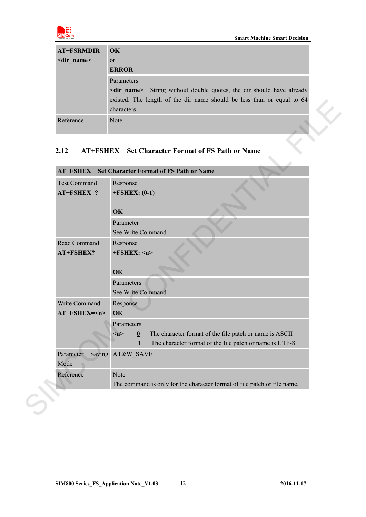

| AT+FSRMDIR= OK      |                                                                                  |
|---------------------|----------------------------------------------------------------------------------|
| <dir name=""></dir> | <sub>or</sub>                                                                    |
|                     | <b>ERROR</b>                                                                     |
|                     | Parameters                                                                       |
|                     | String without double quotes, the dir should have already<br><dir name=""></dir> |
|                     | existed. The length of the dir name should be less than or equal to 64           |
|                     | characters                                                                       |
| Reference           | Note                                                                             |

### <span id="page-11-0"></span>**2.12 AT+FSHEX Set Character Format of FS Path or Name**

| Reference           | Note                                                                                                               |  |
|---------------------|--------------------------------------------------------------------------------------------------------------------|--|
| 2.12                | <b>AT+FSHEX</b> Set Character Format of FS Path or Name<br><b>AT+FSHEX</b> Set Character Format of FS Path or Name |  |
| <b>Test Command</b> | Response                                                                                                           |  |
| $AT+FSHEX=?$        | $+FSHEX: (0-1)$                                                                                                    |  |
|                     | OK                                                                                                                 |  |
|                     | Parameter                                                                                                          |  |
|                     | See Write Command                                                                                                  |  |
| Read Command        | Response                                                                                                           |  |
| AT+FSHEX?           | $+FSHEX:$ <n></n>                                                                                                  |  |
|                     | OK                                                                                                                 |  |
|                     | Parameters                                                                                                         |  |
|                     | See Write Command                                                                                                  |  |
| Write Command       | Response                                                                                                           |  |
| AT+FSHEX= <n></n>   | OK                                                                                                                 |  |
|                     | Parameters                                                                                                         |  |
|                     | The character format of the file patch or name is ASCII<br>$m$ ><br>$\boldsymbol{0}$                               |  |
|                     | The character format of the file patch or name is UTF-8<br>$\mathbf{1}$                                            |  |
| Parameter<br>Mode   | Saving AT&W SAVE                                                                                                   |  |
| Reference           | Note                                                                                                               |  |
|                     | The command is only for the character format of file patch or file name.                                           |  |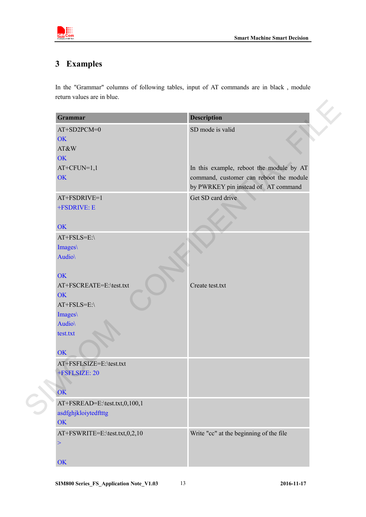

## <span id="page-12-0"></span>**3 Examples**

In the "Grammar" columns of following tables, input of AT commands are in black , module return values are in blue.

| Grammar                       | <b>Description</b>                       |
|-------------------------------|------------------------------------------|
| AT+SD2PCM=0                   | SD mode is valid                         |
| OK                            |                                          |
| AT&W                          |                                          |
| OK                            |                                          |
| $AT+CFUN=1,1$                 | In this example, reboot the module by AT |
| OK                            | command, customer can reboot the module  |
|                               | by PWRKEY pin instead of AT command      |
| AT+FSDRIVE=1                  | Get SD card drive                        |
| +FSDRIVE: E                   |                                          |
| <b>OK</b>                     |                                          |
| AT+FSLS=E:\                   |                                          |
| Images\                       |                                          |
| Audio\                        |                                          |
| <b>OK</b>                     |                                          |
| AT+FSCREATE=E:\test.txt       | Create test.txt                          |
| <b>OK</b>                     |                                          |
| AT+FSLS=E:\                   |                                          |
| Images\                       |                                          |
| Audio\                        |                                          |
| test.txt                      |                                          |
| OK                            |                                          |
| AT+FSFLSIZE=E:\test.txt       |                                          |
| +FSFLSIZE: 20                 |                                          |
|                               |                                          |
| OK                            |                                          |
| AT+FSREAD=E:\test.txt,0,100,1 |                                          |
| asdfghjkloiytedftttg          |                                          |
| OK                            |                                          |
| AT+FSWRITE=E:\test.txt,0,2,10 | Write "cc" at the beginning of the file  |
| $\, > \,$                     |                                          |
|                               |                                          |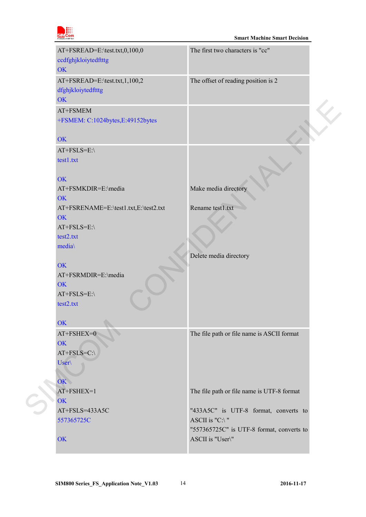

| AT+FSREAD=E:\test.txt,0,100,0<br>ccdfghjkloiytedftttg<br><b>OK</b>             | The first two characters is "cc"                              |  |
|--------------------------------------------------------------------------------|---------------------------------------------------------------|--|
| AT+FSREAD=E:\test.txt,1,100,2<br>dfghjkloiytedftttg<br><b>OK</b>               | The offset of reading position is 2                           |  |
| AT+FSMEM<br>+FSMEM: C:1024bytes,E:49152bytes                                   |                                                               |  |
| <b>OK</b>                                                                      |                                                               |  |
| AT+FSLS=E:\<br>test1.txt<br><b>OK</b>                                          |                                                               |  |
| AT+FSMKDIR=E:\media<br>OK                                                      | Make media directory                                          |  |
| AT+FSRENAME=E:\test1.txt,E:\test2.txt<br><b>OK</b><br>AT+FSLS=E:\<br>test2.txt | Rename test1.txt                                              |  |
| media                                                                          | Delete media directory                                        |  |
| OK<br>AT+FSRMDIR=E:\media                                                      |                                                               |  |
| <b>OK</b>                                                                      |                                                               |  |
| $AT+FSLS=E$ :<br>test2.txt                                                     |                                                               |  |
| OK                                                                             |                                                               |  |
| $AT+FSHEX=0$<br>OK<br>AT+FSLS=C:\                                              | The file path or file name is ASCII format                    |  |
| User\                                                                          |                                                               |  |
| OK<br>AT+FSHEX=1<br>OK                                                         | The file path or file name is UTF-8 format                    |  |
| AT+FSLS=433A5C<br>557365725C                                                   | "433A5C" is UTF-8 format, converts to<br>ASCII is "C:\"       |  |
| OK                                                                             | "557365725C" is UTF-8 format, converts to<br>ASCII is "User\" |  |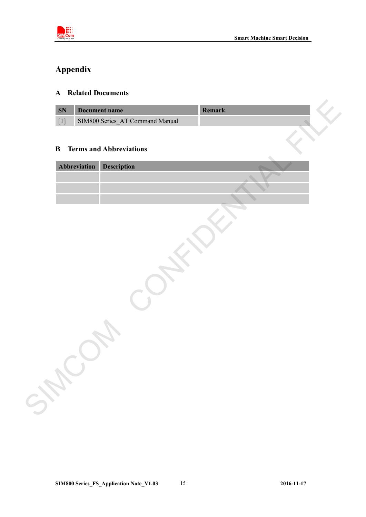

## <span id="page-14-0"></span>**Appendix**

#### <span id="page-14-1"></span>**A Related Documents**

| <b>SN</b> | Document name                   | mark |  |
|-----------|---------------------------------|------|--|
|           | SIM800 Series AT Command Manual |      |  |

#### <span id="page-14-2"></span>**B Terms and Abbreviations**

| SN       | <b>Document name</b>            | Remark |  |
|----------|---------------------------------|--------|--|
|          | SIM800 Series_AT Command Manual |        |  |
|          |                                 |        |  |
| $\bf{B}$ | <b>Terms and Abbreviations</b>  |        |  |
|          | Abbreviation<br>Description     |        |  |
|          |                                 |        |  |
|          |                                 |        |  |
|          |                                 |        |  |
|          |                                 |        |  |
|          |                                 |        |  |
|          |                                 |        |  |
|          |                                 |        |  |
|          |                                 |        |  |
|          |                                 |        |  |
|          |                                 |        |  |
|          |                                 |        |  |
|          |                                 |        |  |
|          |                                 |        |  |
|          |                                 |        |  |
|          |                                 |        |  |
|          |                                 |        |  |
|          |                                 |        |  |
|          |                                 |        |  |
|          |                                 |        |  |